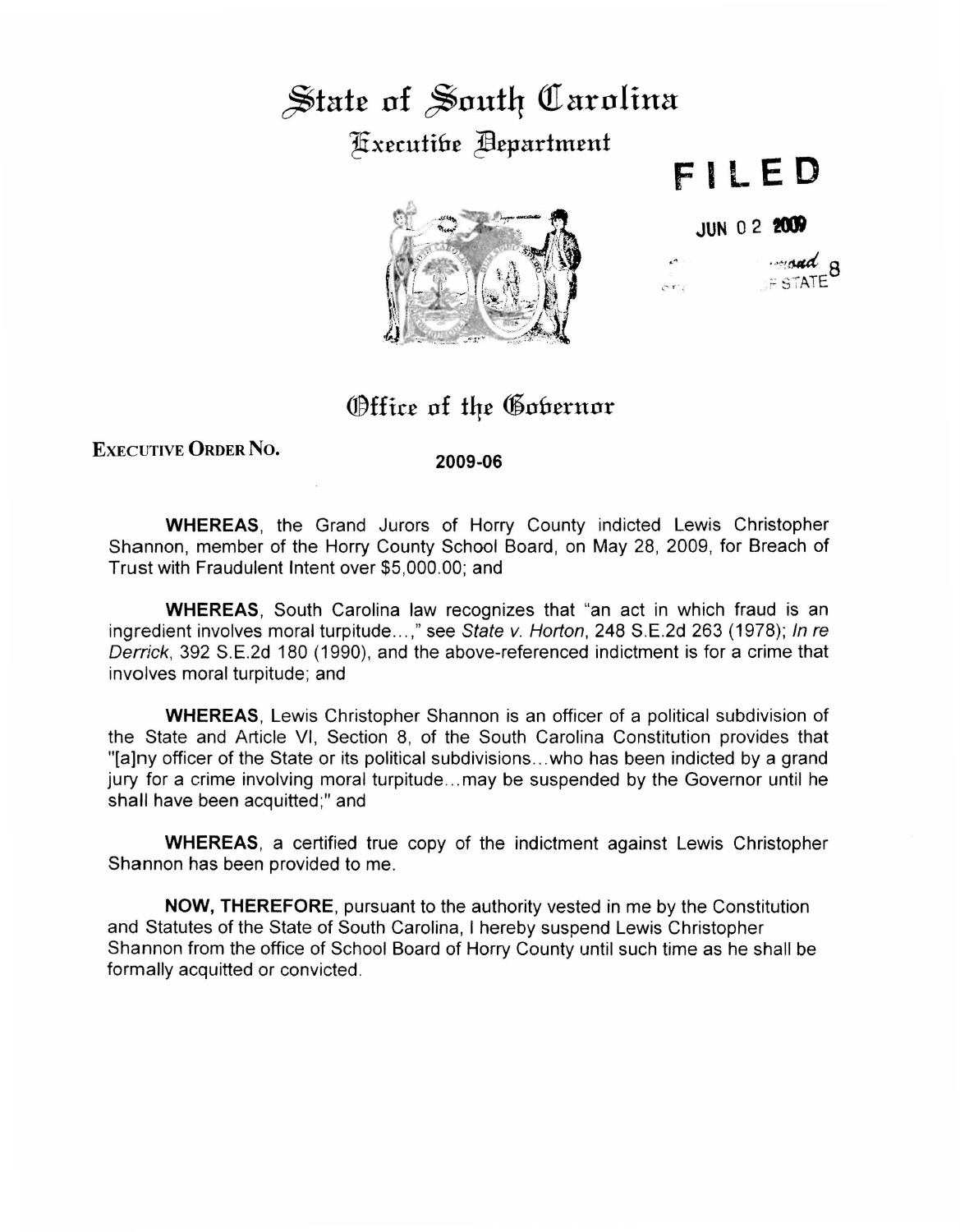## $\frac{1}{2}$  state of South *Carolina* ~x£cutih£ ~£partm£nt



**F ll ED** 

**JUN 02 2(IJ** 

 $\sigma r$ 

 $~\cdot$   $~\cdot$   $~\cdot$  8  $F$  STATE

## **Office of the Gobernor**

## EXEcUTIVE ORDER No.

**2009-06** 

**WHEREAS,** the Grand Jurors of Horry County indicted Lewis Christopher Shannon, member of the Horry County School Board, on May 28, 2009, for Breach of Trust with Fraudulent Intent over \$5,000.00; and

**WHEREAS,** South Carolina law recognizes that "an act in which fraud is an ingredient involves moral turpitude...," see State v. Horton, 248 S.E.2d 263 (1978); In re Derrick, 392 S.E.2d 180 (1990), and the above-referenced indictment is for a crime that involves moral turpitude; and

**WHEREAS,** Lewis Christopher Shannon is an officer of a political subdivision of the State and Article VI, Section 8, of the South Carolina Constitution provides that "[a]ny officer of the State or its political subdivisions ... who has been indicted by a grand jury for a crime involving moral turpitude ... may be suspended by the Governor until he shall have been acquitted;" and

**WHEREAS,** a certified true copy of the indictment against Lewis Christopher Shannon has been provided to me.

**NOW, THEREFORE,** pursuant to the authority vested in me by the Constitution and Statutes of the State of South Carolina, I hereby suspend Lewis Christopher Shannon from the office of School Board of Horry County until such time as he shall be formally acquitted or convicted.